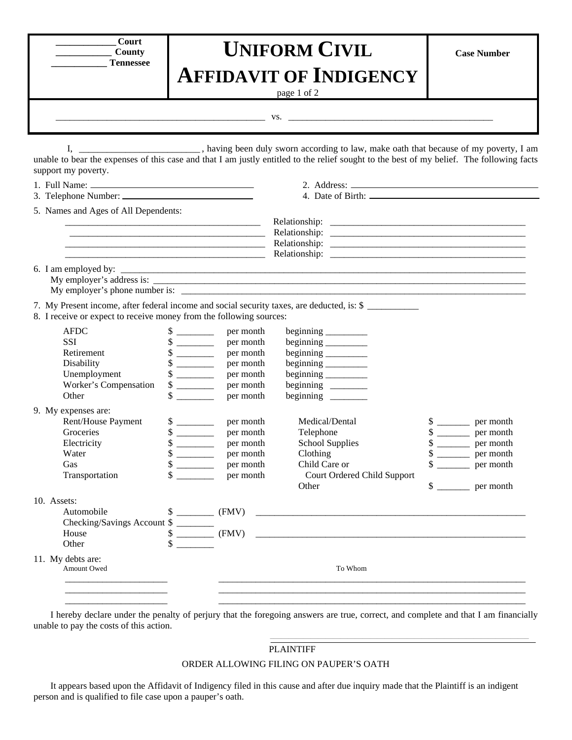| <b>Court</b>     |
|------------------|
| County           |
| <b>Tennessee</b> |

## **UNIFORM CIVIL AFFIDAVIT OF INDIGENCY**

page 1 of 2

\_\_\_\_\_\_\_\_\_\_\_\_\_\_\_\_\_\_\_\_\_\_\_\_\_\_\_\_\_\_\_\_\_\_\_\_\_\_\_\_\_\_\_\_\_ vs. \_\_\_\_\_\_\_\_\_\_\_\_\_\_\_\_\_\_\_\_\_\_\_\_\_\_\_\_\_\_\_\_\_\_\_\_\_\_\_\_\_\_\_\_

I, \_\_\_\_\_\_\_\_\_\_\_\_\_\_\_\_\_\_\_\_\_\_\_\_\_, having been duly sworn according to law, make oath that because of my poverty, I am unable to bear the expenses of this case and that I am justly entitled to the relief sought to the best of my belief. The following facts support my poverty.

|                                  | 5. Names and Ages of All Dependents:<br><u> 1989 - Johann Barn, mars ann an t-Amhain an t-Amhain ann an t-Amhain an t-Amhain an t-Amhain an t-Amhain an t-</u> |                                                                                                                                                              |                                                                                         |                                                                                                                                                                  |                                                                                                                   |                                                                                          |
|----------------------------------|----------------------------------------------------------------------------------------------------------------------------------------------------------------|--------------------------------------------------------------------------------------------------------------------------------------------------------------|-----------------------------------------------------------------------------------------|------------------------------------------------------------------------------------------------------------------------------------------------------------------|-------------------------------------------------------------------------------------------------------------------|------------------------------------------------------------------------------------------|
|                                  |                                                                                                                                                                |                                                                                                                                                              |                                                                                         |                                                                                                                                                                  |                                                                                                                   |                                                                                          |
|                                  | 8. I receive or expect to receive money from the following sources:                                                                                            |                                                                                                                                                              |                                                                                         | 7. My Present income, after federal income and social security taxes, are deducted, is: \$                                                                       |                                                                                                                   |                                                                                          |
|                                  | <b>AFDC</b><br><b>SSI</b><br>Retirement<br>Disability<br>Unemployment<br>Worker's Compensation<br>Other                                                        | $\frac{\text{S}}{\text{S}}$<br>$\frac{\text{S}}{\text{S}}$<br>\$<br>$\frac{\text{S}}{\text{S}}$<br>$\frac{\sqrt{2}}{2}$<br>$\frac{\text{S}}{\text{S}}$<br>\$ | per month<br>per month<br>per month<br>per month<br>per month<br>per month<br>per month | beginning __________<br>beginning __________<br>beginning<br>beginning $\_\_\_\_\_\_\_\_\_\_\$<br>beginning _________<br>beginning _________<br>beginning $\_\_$ |                                                                                                                   |                                                                                          |
|                                  | 9. My expenses are:<br>Rent/House Payment<br>Groceries<br>Electricity<br>Water<br>Gas<br>Transportation                                                        | $\frac{\text{S}}{\text{S}}$<br>\$<br>$\frac{\text{S}}{\text{S}}$<br>$\frac{\text{S}}{\text{S}}$<br>\$                                                        | per month<br>per month<br>per month<br>per month<br>per month<br>per month              | Medical/Dental<br>Telephone<br><b>School Supplies</b><br>Clothing<br>Child Care or<br>Court Ordered Child Support<br>Other                                       | $\frac{\text{S}}{\text{S}}$<br>$\frac{\sqrt{2}}{2}$<br>$\frac{\text{S}}{\text{S}}$<br>$\frac{\text{S}}{\text{S}}$ | per month<br>per month<br>per month<br>per month<br>per month<br>$\frac{1}{2}$ per month |
|                                  | 10. Assets:<br>Automobile<br>Checking/Savings Account \$<br>House<br>Other                                                                                     | \$                                                                                                                                                           |                                                                                         |                                                                                                                                                                  |                                                                                                                   |                                                                                          |
| 11. My debts are:<br>Amount Owed |                                                                                                                                                                |                                                                                                                                                              | To Whom                                                                                 |                                                                                                                                                                  |                                                                                                                   |                                                                                          |
|                                  |                                                                                                                                                                |                                                                                                                                                              |                                                                                         |                                                                                                                                                                  |                                                                                                                   |                                                                                          |

I hereby declare under the penalty of perjury that the foregoing answers are true, correct, and complete and that I am financially unable to pay the costs of this action.  $\mathcal{L}_\mathcal{L} = \{ \mathcal{L}_\mathcal{L} = \{ \mathcal{L}_\mathcal{L} = \{ \mathcal{L}_\mathcal{L} = \{ \mathcal{L}_\mathcal{L} = \{ \mathcal{L}_\mathcal{L} = \{ \mathcal{L}_\mathcal{L} = \{ \mathcal{L}_\mathcal{L} = \{ \mathcal{L}_\mathcal{L} = \{ \mathcal{L}_\mathcal{L} = \{ \mathcal{L}_\mathcal{L} = \{ \mathcal{L}_\mathcal{L} = \{ \mathcal{L}_\mathcal{L} = \{ \mathcal{L}_\mathcal{L} = \{ \mathcal{L}_\mathcal{$ 

## PLAINTIFF

## ORDER ALLOWING FILING ON PAUPER'S OATH

It appears based upon the Affidavit of Indigency filed in this cause and after due inquiry made that the Plaintiff is an indigent person and is qualified to file case upon a pauper's oath.